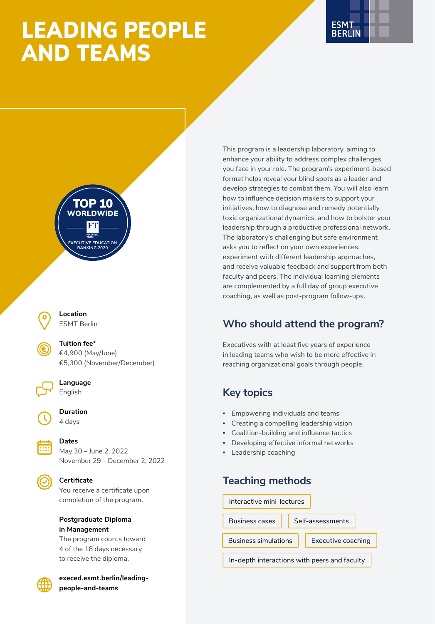# LEADING PEOPLE AND TEAMS







### **Location** ESMT Berlin

**Tuition fee\***

€4,900 (May/June) €5,300 (November/December)



**Language** English



4 days



### **Certificate**

You receive a certificate upon completion of the program.

#### **Postgraduate Diploma in Management**

The program counts toward 4 of the 18 days necessary to receive the diploma.

**[execed.esmt.berlin/leading](https://execed.esmt.berlin/leading-people-and-teams)[people-and-teams](https://execed.esmt.berlin/leading-people-and-teams)**

This program is a leadership laboratory, aiming to enhance your ability to address complex challenges you face in your role. The program's experiment-based format helps reveal your blind spots as a leader and develop strategies to combat them. You will also learn how to influence decision makers to support your initiatives, how to diagnose and remedy potentially toxic organizational dynamics, and how to bolster your leadership through a productive professional network. The laboratory's challenging but safe environment asks you to reflect on your own experiences, experiment with different leadership approaches, and receive valuable feedback and support from both faculty and peers. The individual learning elements are complemented by a full day of group executive coaching, as well as post-program follow-ups.

# **Who should attend the program?**

Executives with at least five years of experience in leading teams who wish to be more effective in reaching organizational goals through people.

# **Key topics**

- **•** Empowering individuals and teams
- **•** Creating a compelling leadership vision
- Coalition-building and influence tactics
- Developing effective informal networks
- Leadership coaching

## **Teaching methods**